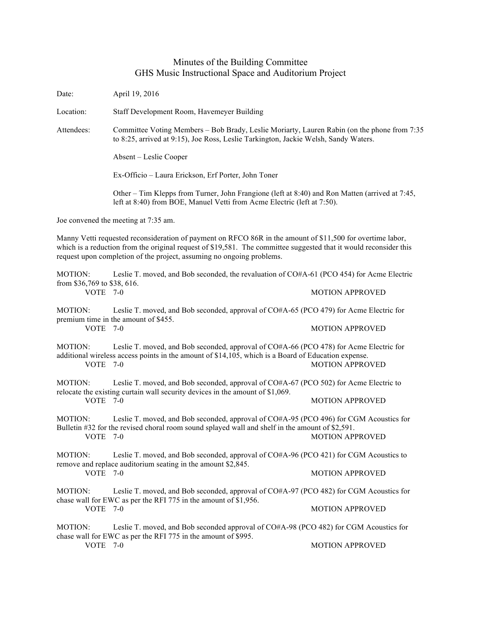## Minutes of the Building Committee GHS Music Instructional Space and Auditorium Project

| Date:                                                                                                                                                                                                                                                                                                    | April 19, 2016                                                                                                                                                                                         |                        |  |
|----------------------------------------------------------------------------------------------------------------------------------------------------------------------------------------------------------------------------------------------------------------------------------------------------------|--------------------------------------------------------------------------------------------------------------------------------------------------------------------------------------------------------|------------------------|--|
| Location:                                                                                                                                                                                                                                                                                                | Staff Development Room, Havemeyer Building                                                                                                                                                             |                        |  |
| Attendees:                                                                                                                                                                                                                                                                                               | Committee Voting Members – Bob Brady, Leslie Moriarty, Lauren Rabin (on the phone from 7:35<br>to 8:25, arrived at 9:15), Joe Ross, Leslie Tarkington, Jackie Welsh, Sandy Waters.                     |                        |  |
|                                                                                                                                                                                                                                                                                                          | Absent – Leslie Cooper                                                                                                                                                                                 |                        |  |
|                                                                                                                                                                                                                                                                                                          | Ex-Officio - Laura Erickson, Erf Porter, John Toner                                                                                                                                                    |                        |  |
|                                                                                                                                                                                                                                                                                                          | Other – Tim Klepps from Turner, John Frangione (left at 8:40) and Ron Matten (arrived at 7:45,<br>left at 8:40) from BOE, Manuel Vetti from Acme Electric (left at 7:50).                              |                        |  |
| Joe convened the meeting at 7:35 am.                                                                                                                                                                                                                                                                     |                                                                                                                                                                                                        |                        |  |
| Manny Vetti requested reconsideration of payment on RFCO 86R in the amount of \$11,500 for overtime labor,<br>which is a reduction from the original request of \$19,581. The committee suggested that it would reconsider this<br>request upon completion of the project, assuming no ongoing problems. |                                                                                                                                                                                                        |                        |  |
| MOTION:<br>from \$36,769 to \$38, 616.                                                                                                                                                                                                                                                                   | Leslie T. moved, and Bob seconded, the revaluation of CO#A-61 (PCO 454) for Acme Electric                                                                                                              |                        |  |
| VOTE 7-0                                                                                                                                                                                                                                                                                                 |                                                                                                                                                                                                        | <b>MOTION APPROVED</b> |  |
| MOTION:                                                                                                                                                                                                                                                                                                  | Leslie T. moved, and Bob seconded, approval of CO#A-65 (PCO 479) for Acme Electric for<br>premium time in the amount of \$455.                                                                         |                        |  |
| VOTE 7-0                                                                                                                                                                                                                                                                                                 |                                                                                                                                                                                                        | <b>MOTION APPROVED</b> |  |
| MOTION:<br><b>VOTE</b>                                                                                                                                                                                                                                                                                   | Leslie T. moved, and Bob seconded, approval of CO#A-66 (PCO 478) for Acme Electric for<br>additional wireless access points in the amount of \$14,105, which is a Board of Education expense.<br>$7-0$ | <b>MOTION APPROVED</b> |  |
| MOTION:                                                                                                                                                                                                                                                                                                  | Leslie T. moved, and Bob seconded, approval of CO#A-67 (PCO 502) for Acme Electric to<br>relocate the existing curtain wall security devices in the amount of \$1,069.                                 |                        |  |
| VOTE 7-0                                                                                                                                                                                                                                                                                                 |                                                                                                                                                                                                        | <b>MOTION APPROVED</b> |  |
| <b>MOTION:</b>                                                                                                                                                                                                                                                                                           | Leslie T. moved, and Bob seconded, approval of CO#A-95 (PCO 496) for CGM Acoustics for<br>Bulletin #32 for the revised choral room sound splayed wall and shelf in the amount of \$2,591.              |                        |  |
| VOTE 7-0                                                                                                                                                                                                                                                                                                 |                                                                                                                                                                                                        | <b>MOTION APPROVED</b> |  |
| MOTION:<br>VOTE 7-0                                                                                                                                                                                                                                                                                      | Leslie T. moved, and Bob seconded, approval of CO#A-96 (PCO 421) for CGM Acoustics to<br>remove and replace auditorium seating in the amount \$2,845.                                                  |                        |  |
|                                                                                                                                                                                                                                                                                                          |                                                                                                                                                                                                        | <b>MOTION APPROVED</b> |  |
| MOTION:<br>VOTE 7-0                                                                                                                                                                                                                                                                                      | Leslie T. moved, and Bob seconded, approval of CO#A-97 (PCO 482) for CGM Acoustics for<br>chase wall for EWC as per the RFI 775 in the amount of \$1,956.                                              |                        |  |
|                                                                                                                                                                                                                                                                                                          |                                                                                                                                                                                                        | <b>MOTION APPROVED</b> |  |
| MOTION:                                                                                                                                                                                                                                                                                                  | Leslie T. moved, and Bob seconded approval of CO#A-98 (PCO 482) for CGM Acoustics for<br>chase wall for EWC as per the RFI 775 in the amount of \$995.                                                 |                        |  |
| VOTE 7-0                                                                                                                                                                                                                                                                                                 |                                                                                                                                                                                                        | <b>MOTION APPROVED</b> |  |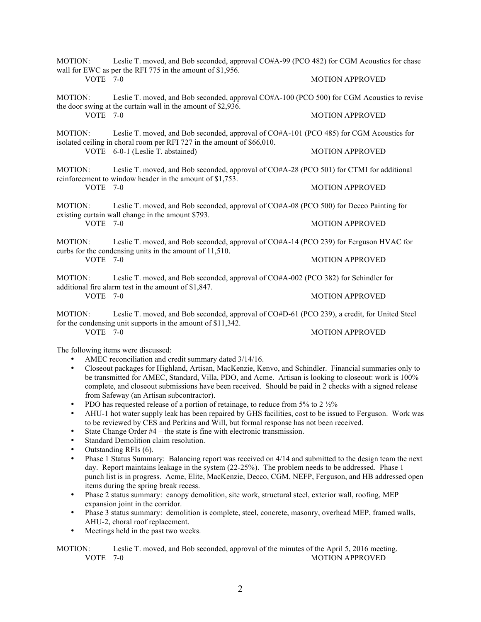|                       | MOTION: Leslie T. moved, and Bob seconded, approval CO#A-99 (PCO 482) for CGM Acoustics for chase<br>wall for EWC as per the RFI 775 in the amount of \$1,956.      |                        |
|-----------------------|---------------------------------------------------------------------------------------------------------------------------------------------------------------------|------------------------|
| VOTE $7-0$            |                                                                                                                                                                     | <b>MOTION APPROVED</b> |
| MOTION:<br>$VOTE$ 7-0 | Leslie T. moved, and Bob seconded, approval CO#A-100 (PCO 500) for CGM Acoustics to revise<br>the door swing at the curtain wall in the amount of \$2,936.          |                        |
|                       |                                                                                                                                                                     | <b>MOTION APPROVED</b> |
| MOTION:               | Leslie T. moved, and Bob seconded, approval of CO#A-101 (PCO 485) for CGM Acoustics for<br>isolated ceiling in choral room per RFI 727 in the amount of \$66,010.   |                        |
|                       | VOTE 6-0-1 (Leslie T. abstained)                                                                                                                                    | <b>MOTION APPROVED</b> |
| MOTION:               | Leslie T. moved, and Bob seconded, approval of CO#A-28 (PCO 501) for CTMI for additional<br>reinforcement to window header in the amount of \$1,753.                |                        |
| VOTE $7-0$            |                                                                                                                                                                     | <b>MOTION APPROVED</b> |
| MOTION:               | Leslie T. moved, and Bob seconded, approval of CO#A-08 (PCO 500) for Decco Painting for<br>existing curtain wall change in the amount \$793.                        |                        |
| $VOTE$ 7-0            |                                                                                                                                                                     | <b>MOTION APPROVED</b> |
| MOTION:               | Leslie T. moved, and Bob seconded, approval of CO#A-14 (PCO 239) for Ferguson HVAC for<br>curbs for the condensing units in the amount of 11,510.                   |                        |
| VOTE 7-0              |                                                                                                                                                                     | <b>MOTION APPROVED</b> |
| MOTION:               | Leslie T. moved, and Bob seconded, approval of CO#A-002 (PCO 382) for Schindler for<br>additional fire alarm test in the amount of \$1,847.                         |                        |
| VOTE 7-0              |                                                                                                                                                                     | <b>MOTION APPROVED</b> |
|                       | MOTION: Leslie T. moved, and Bob seconded, approval of CO#D-61 (PCO 239), a credit, for United Steel<br>for the condensing unit supports in the amount of \$11,342. |                        |
| VOTE $7-0$            |                                                                                                                                                                     | <b>MOTION APPROVED</b> |

The following items were discussed:

- AMEC reconciliation and credit summary dated 3/14/16.<br>• Closeout packages for Highland, Artisan, MacKenzie, Ke
- Closeout packages for Highland, Artisan, MacKenzie, Kenvo, and Schindler. Financial summaries only to be transmitted for AMEC, Standard, Villa, PDO, and Acme. Artisan is looking to closeout: work is 100% complete, and closeout submissions have been received. Should be paid in 2 checks with a signed release from Safeway (an Artisan subcontractor).
- PDO has requested release of a portion of retainage, to reduce from  $5\%$  to  $2\frac{1}{2}\%$
- AHU-1 hot water supply leak has been repaired by GHS facilities, cost to be issued to Ferguson. Work was to be reviewed by CES and Perkins and Will, but formal response has not been received.
- State Change Order #4 the state is fine with electronic transmission.
- Standard Demolition claim resolution.
- Outstanding RFIs (6).
- Phase 1 Status Summary: Balancing report was received on 4/14 and submitted to the design team the next day. Report maintains leakage in the system (22-25%). The problem needs to be addressed. Phase 1 punch list is in progress. Acme, Elite, MacKenzie, Decco, CGM, NEFP, Ferguson, and HB addressed open items during the spring break recess.
- Phase 2 status summary: canopy demolition, site work, structural steel, exterior wall, roofing, MEP expansion joint in the corridor.
- Phase 3 status summary: demolition is complete, steel, concrete, masonry, overhead MEP, framed walls, AHU-2, choral roof replacement.
- Meetings held in the past two weeks.

MOTION: Leslie T. moved, and Bob seconded, approval of the minutes of the April 5, 2016 meeting. VOTE 7-0 MOTION APPROVED